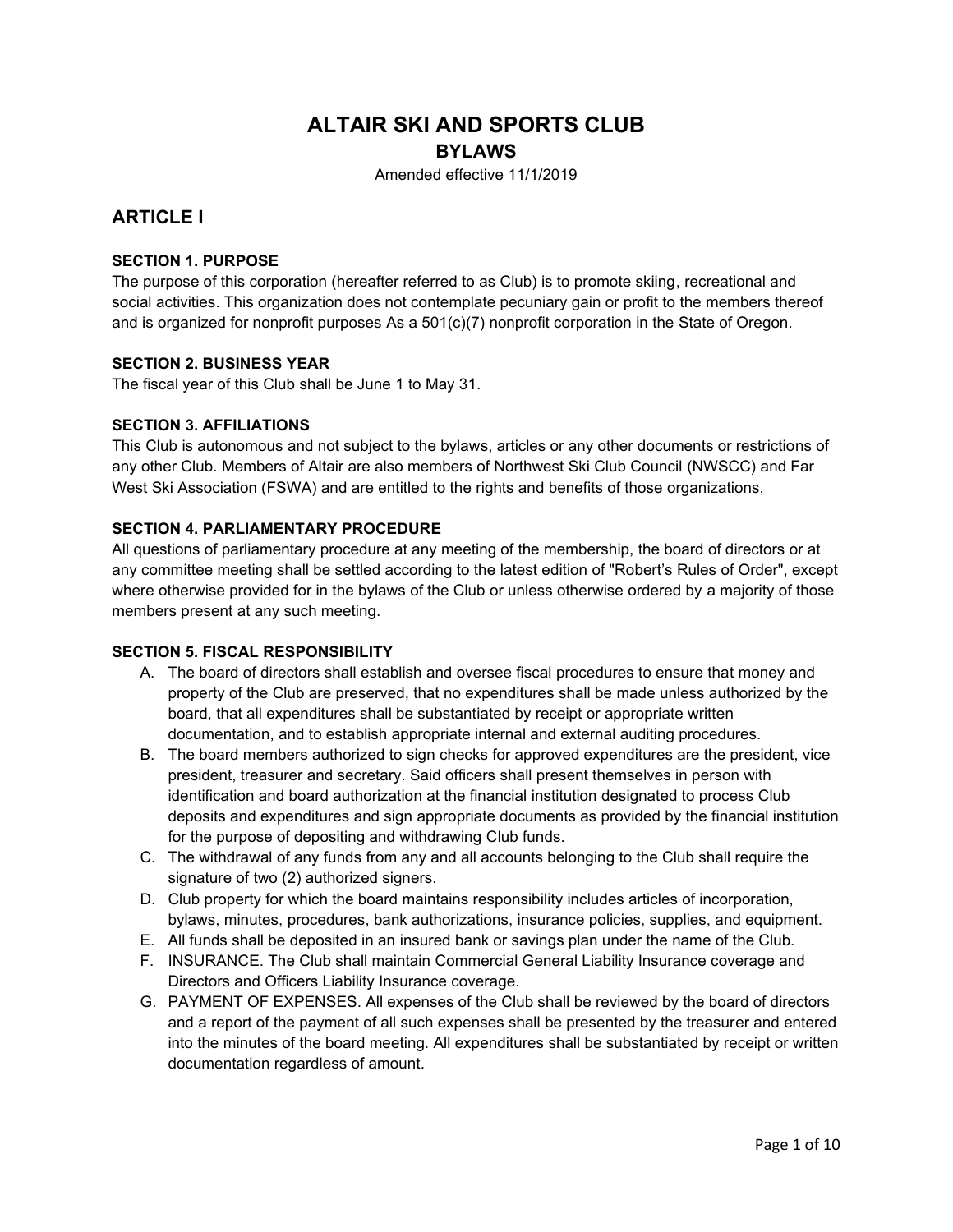# **ALTAIR SKI AND SPORTS CLUB**

# **BYLAWS**

Amended effective 11/1/2019

# **ARTICLE I**

# **SECTION 1. PURPOSE**

The purpose of this corporation (hereafter referred to as Club) is to promote skiing, recreational and social activities. This organization does not contemplate pecuniary gain or profit to the members thereof and is organized for nonprofit purposes As a 501(c)(7) nonprofit corporation in the State of Oregon.

### **SECTION 2. BUSINESS YEAR**

The fiscal year of this Club shall be June 1 to May 31.

### **SECTION 3. AFFILIATIONS**

This Club is autonomous and not subject to the bylaws, articles or any other documents or restrictions of any other Club. Members of Altair are also members of Northwest Ski Club Council (NWSCC) and Far West Ski Association (FSWA) and are entitled to the rights and benefits of those organizations,

### **SECTION 4. PARLIAMENTARY PROCEDURE**

All questions of parliamentary procedure at any meeting of the membership, the board of directors or at any committee meeting shall be settled according to the latest edition of "Robert's Rules of Order", except where otherwise provided for in the bylaws of the Club or unless otherwise ordered by a majority of those members present at any such meeting.

# **SECTION 5. FISCAL RESPONSIBILITY**

- A. The board of directors shall establish and oversee fiscal procedures to ensure that money and property of the Club are preserved, that no expenditures shall be made unless authorized by the board, that all expenditures shall be substantiated by receipt or appropriate written documentation, and to establish appropriate internal and external auditing procedures.
- B. The board members authorized to sign checks for approved expenditures are the president, vice president, treasurer and secretary. Said officers shall present themselves in person with identification and board authorization at the financial institution designated to process Club deposits and expenditures and sign appropriate documents as provided by the financial institution for the purpose of depositing and withdrawing Club funds.
- C. The withdrawal of any funds from any and all accounts belonging to the Club shall require the signature of two (2) authorized signers.
- D. Club property for which the board maintains responsibility includes articles of incorporation, bylaws, minutes, procedures, bank authorizations, insurance policies, supplies, and equipment.
- E. All funds shall be deposited in an insured bank or savings plan under the name of the Club.
- F. INSURANCE. The Club shall maintain Commercial General Liability Insurance coverage and Directors and Officers Liability Insurance coverage.
- G. PAYMENT OF EXPENSES. All expenses of the Club shall be reviewed by the board of directors and a report of the payment of all such expenses shall be presented by the treasurer and entered into the minutes of the board meeting. All expenditures shall be substantiated by receipt or written documentation regardless of amount.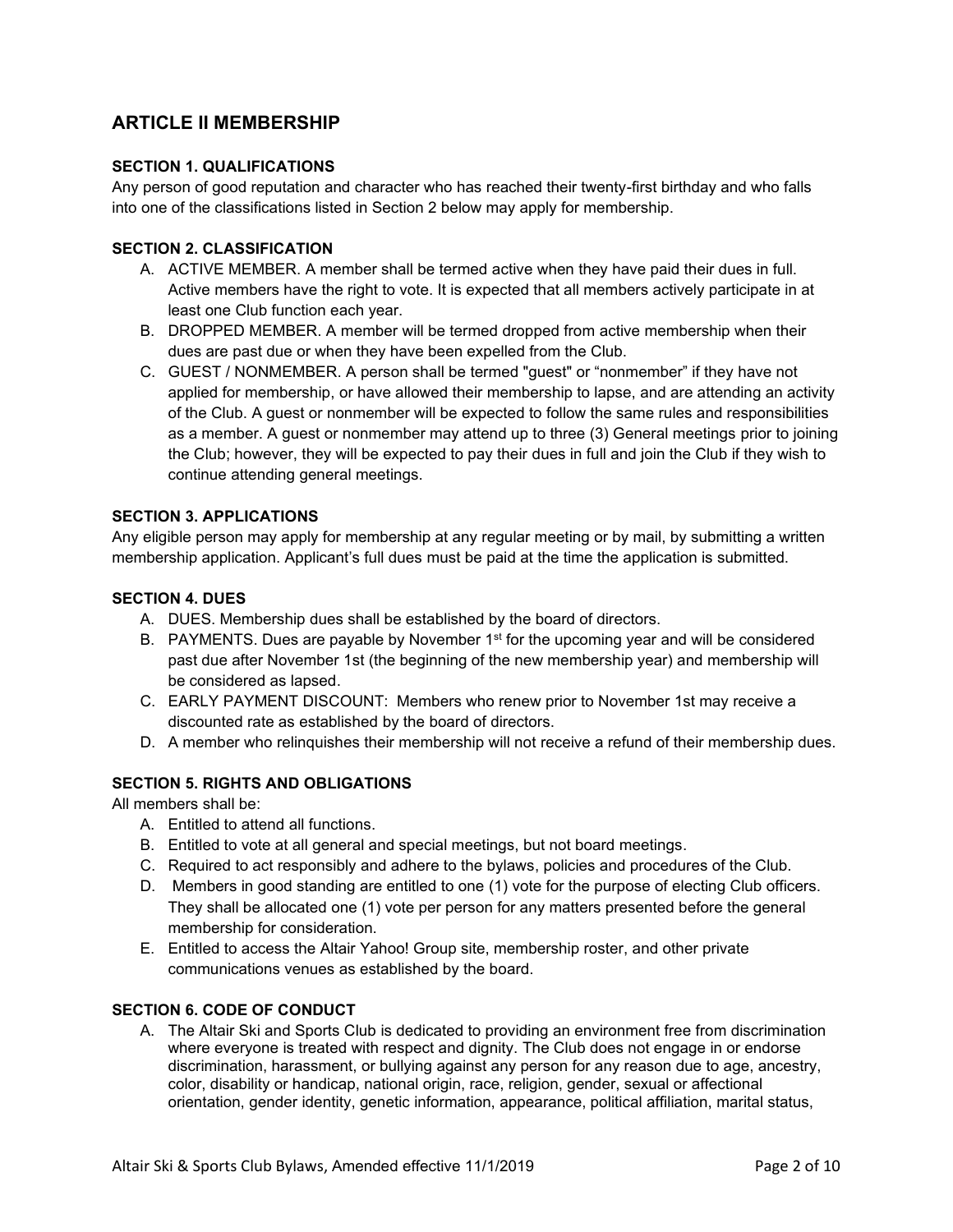# **ARTICLE II MEMBERSHIP**

## **SECTION 1. QUALIFICATIONS**

Any person of good reputation and character who has reached their twenty-first birthday and who falls into one of the classifications listed in Section 2 below may apply for membership.

## **SECTION 2. CLASSIFICATION**

- A. ACTIVE MEMBER. A member shall be termed active when they have paid their dues in full. Active members have the right to vote. It is expected that all members actively participate in at least one Club function each year.
- B. DROPPED MEMBER. A member will be termed dropped from active membership when their dues are past due or when they have been expelled from the Club.
- C. GUEST / NONMEMBER. A person shall be termed "guest" or "nonmember" if they have not applied for membership, or have allowed their membership to lapse, and are attending an activity of the Club. A guest or nonmember will be expected to follow the same rules and responsibilities as a member. A guest or nonmember may attend up to three (3) General meetings prior to joining the Club; however, they will be expected to pay their dues in full and join the Club if they wish to continue attending general meetings.

### **SECTION 3. APPLICATIONS**

Any eligible person may apply for membership at any regular meeting or by mail, by submitting a written membership application. Applicant's full dues must be paid at the time the application is submitted.

### **SECTION 4. DUES**

- A. DUES. Membership dues shall be established by the board of directors.
- B. PAYMENTS. Dues are payable by November  $1<sup>st</sup>$  for the upcoming year and will be considered past due after November 1st (the beginning of the new membership year) and membership will be considered as lapsed.
- C. EARLY PAYMENT DISCOUNT: Members who renew prior to November 1st may receive a discounted rate as established by the board of directors.
- D. A member who relinquishes their membership will not receive a refund of their membership dues.

# **SECTION 5. RIGHTS AND OBLIGATIONS**

All members shall be:

- A. Entitled to attend all functions.
- B. Entitled to vote at all general and special meetings, but not board meetings.
- C. Required to act responsibly and adhere to the bylaws, policies and procedures of the Club.
- D. Members in good standing are entitled to one (1) vote for the purpose of electing Club officers. They shall be allocated one (1) vote per person for any matters presented before the general membership for consideration.
- E. Entitled to access the Altair Yahoo! Group site, membership roster, and other private communications venues as established by the board.

# **SECTION 6. CODE OF CONDUCT**

A. The Altair Ski and Sports Club is dedicated to providing an environment free from discrimination where everyone is treated with respect and dignity. The Club does not engage in or endorse discrimination, harassment, or bullying against any person for any reason due to age, ancestry, color, disability or handicap, national origin, race, religion, gender, sexual or affectional orientation, gender identity, genetic information, appearance, political affiliation, marital status,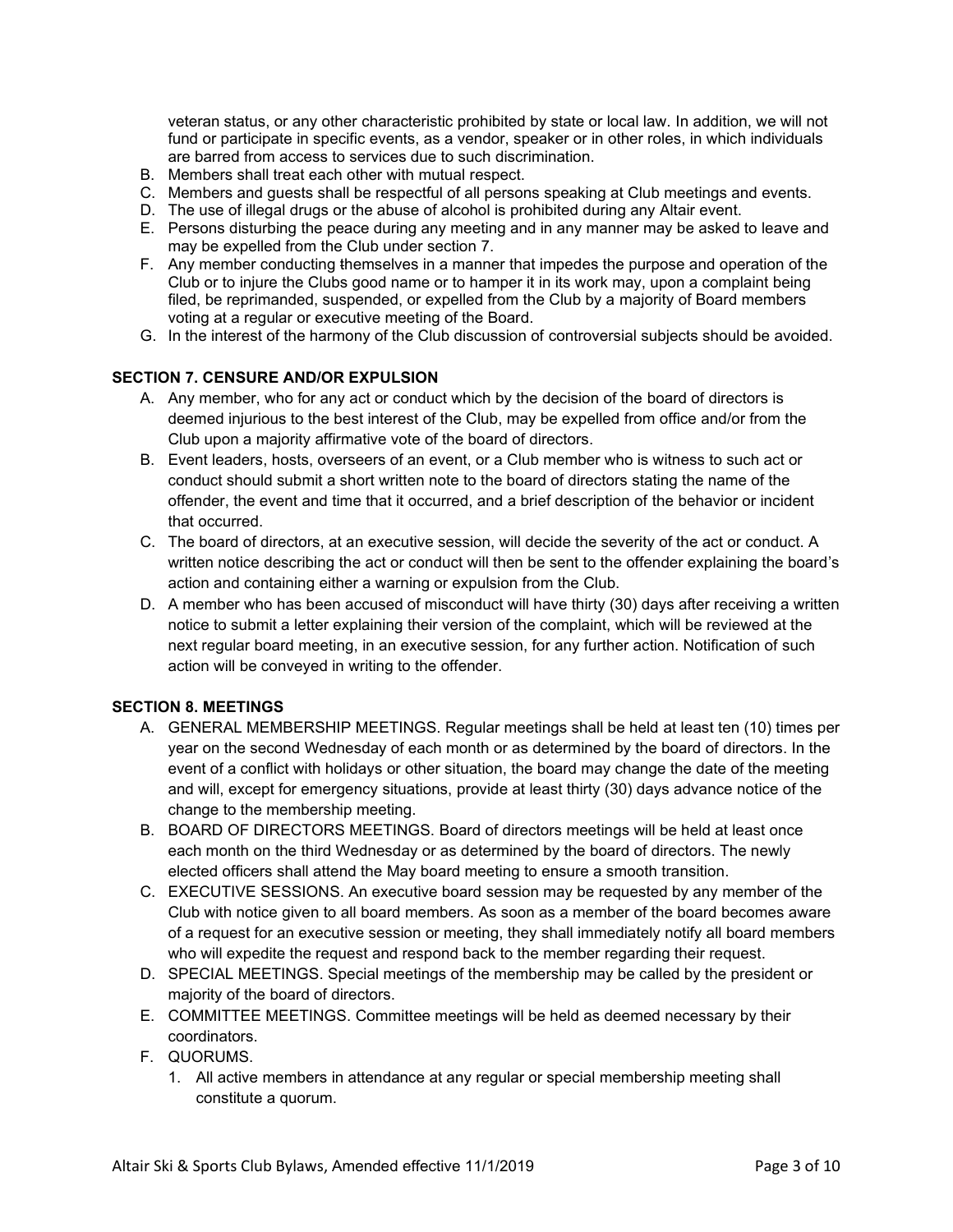veteran status, or any other characteristic prohibited by state or local law. In addition, we will not fund or participate in specific events, as a vendor, speaker or in other roles, in which individuals are barred from access to services due to such discrimination.

- B. Members shall treat each other with mutual respect.
- C. Members and guests shall be respectful of all persons speaking at Club meetings and events.
- D. The use of illegal drugs or the abuse of alcohol is prohibited during any Altair event.
- E. Persons disturbing the peace during any meeting and in any manner may be asked to leave and may be expelled from the Club under section 7.
- F. Any member conducting themselves in a manner that impedes the purpose and operation of the Club or to injure the Clubs good name or to hamper it in its work may, upon a complaint being filed, be reprimanded, suspended, or expelled from the Club by a majority of Board members voting at a regular or executive meeting of the Board.
- G. In the interest of the harmony of the Club discussion of controversial subjects should be avoided.

## **SECTION 7. CENSURE AND/OR EXPULSION**

- A. Any member, who for any act or conduct which by the decision of the board of directors is deemed injurious to the best interest of the Club, may be expelled from office and/or from the Club upon a majority affirmative vote of the board of directors.
- B. Event leaders, hosts, overseers of an event, or a Club member who is witness to such act or conduct should submit a short written note to the board of directors stating the name of the offender, the event and time that it occurred, and a brief description of the behavior or incident that occurred.
- C. The board of directors, at an executive session, will decide the severity of the act or conduct. A written notice describing the act or conduct will then be sent to the offender explaining the board's action and containing either a warning or expulsion from the Club.
- D. A member who has been accused of misconduct will have thirty (30) days after receiving a written notice to submit a letter explaining their version of the complaint, which will be reviewed at the next regular board meeting, in an executive session, for any further action. Notification of such action will be conveyed in writing to the offender.

### **SECTION 8. MEETINGS**

- A. GENERAL MEMBERSHIP MEETINGS. Regular meetings shall be held at least ten (10) times per year on the second Wednesday of each month or as determined by the board of directors. In the event of a conflict with holidays or other situation, the board may change the date of the meeting and will, except for emergency situations, provide at least thirty (30) days advance notice of the change to the membership meeting.
- B. BOARD OF DIRECTORS MEETINGS. Board of directors meetings will be held at least once each month on the third Wednesday or as determined by the board of directors. The newly elected officers shall attend the May board meeting to ensure a smooth transition.
- C. EXECUTIVE SESSIONS. An executive board session may be requested by any member of the Club with notice given to all board members. As soon as a member of the board becomes aware of a request for an executive session or meeting, they shall immediately notify all board members who will expedite the request and respond back to the member regarding their request.
- D. SPECIAL MEETINGS. Special meetings of the membership may be called by the president or majority of the board of directors.
- E. COMMITTEE MEETINGS. Committee meetings will be held as deemed necessary by their coordinators.
- F. QUORUMS.
	- 1. All active members in attendance at any regular or special membership meeting shall constitute a quorum.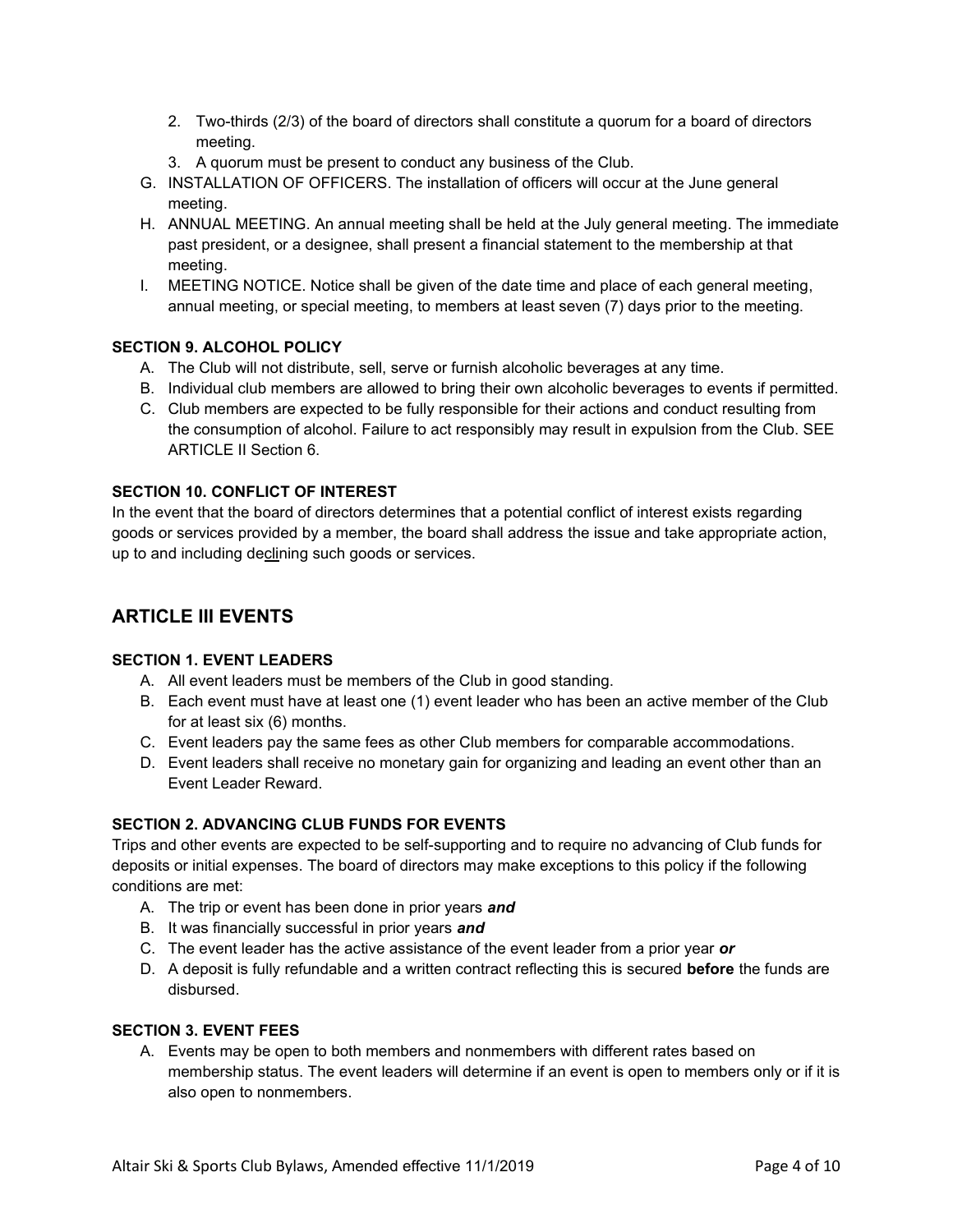- 2. Two-thirds (2/3) of the board of directors shall constitute a quorum for a board of directors meeting.
- 3. A quorum must be present to conduct any business of the Club.
- G. INSTALLATION OF OFFICERS. The installation of officers will occur at the June general meeting.
- H. ANNUAL MEETING. An annual meeting shall be held at the July general meeting. The immediate past president, or a designee, shall present a financial statement to the membership at that meeting.
- I. MEETING NOTICE. Notice shall be given of the date time and place of each general meeting, annual meeting, or special meeting, to members at least seven (7) days prior to the meeting.

# **SECTION 9. ALCOHOL POLICY**

- A. The Club will not distribute, sell, serve or furnish alcoholic beverages at any time.
- B. Individual club members are allowed to bring their own alcoholic beverages to events if permitted.
- C. Club members are expected to be fully responsible for their actions and conduct resulting from the consumption of alcohol. Failure to act responsibly may result in expulsion from the Club. SEE ARTICLE II Section 6.

# **SECTION 10. CONFLICT OF INTEREST**

In the event that the board of directors determines that a potential conflict of interest exists regarding goods or services provided by a member, the board shall address the issue and take appropriate action, up to and including declining such goods or services.

# **ARTICLE III EVENTS**

# **SECTION 1. EVENT LEADERS**

- A. All event leaders must be members of the Club in good standing.
- B. Each event must have at least one (1) event leader who has been an active member of the Club for at least six (6) months.
- C. Event leaders pay the same fees as other Club members for comparable accommodations.
- D. Event leaders shall receive no monetary gain for organizing and leading an event other than an Event Leader Reward.

# **SECTION 2. ADVANCING CLUB FUNDS FOR EVENTS**

Trips and other events are expected to be self-supporting and to require no advancing of Club funds for deposits or initial expenses. The board of directors may make exceptions to this policy if the following conditions are met:

- A. The trip or event has been done in prior years *and*
- B. It was financially successful in prior years *and*
- C. The event leader has the active assistance of the event leader from a prior year *or*
- D. A deposit is fully refundable and a written contract reflecting this is secured **before** the funds are disbursed.

### **SECTION 3. EVENT FEES**

A. Events may be open to both members and nonmembers with different rates based on membership status. The event leaders will determine if an event is open to members only or if it is also open to nonmembers.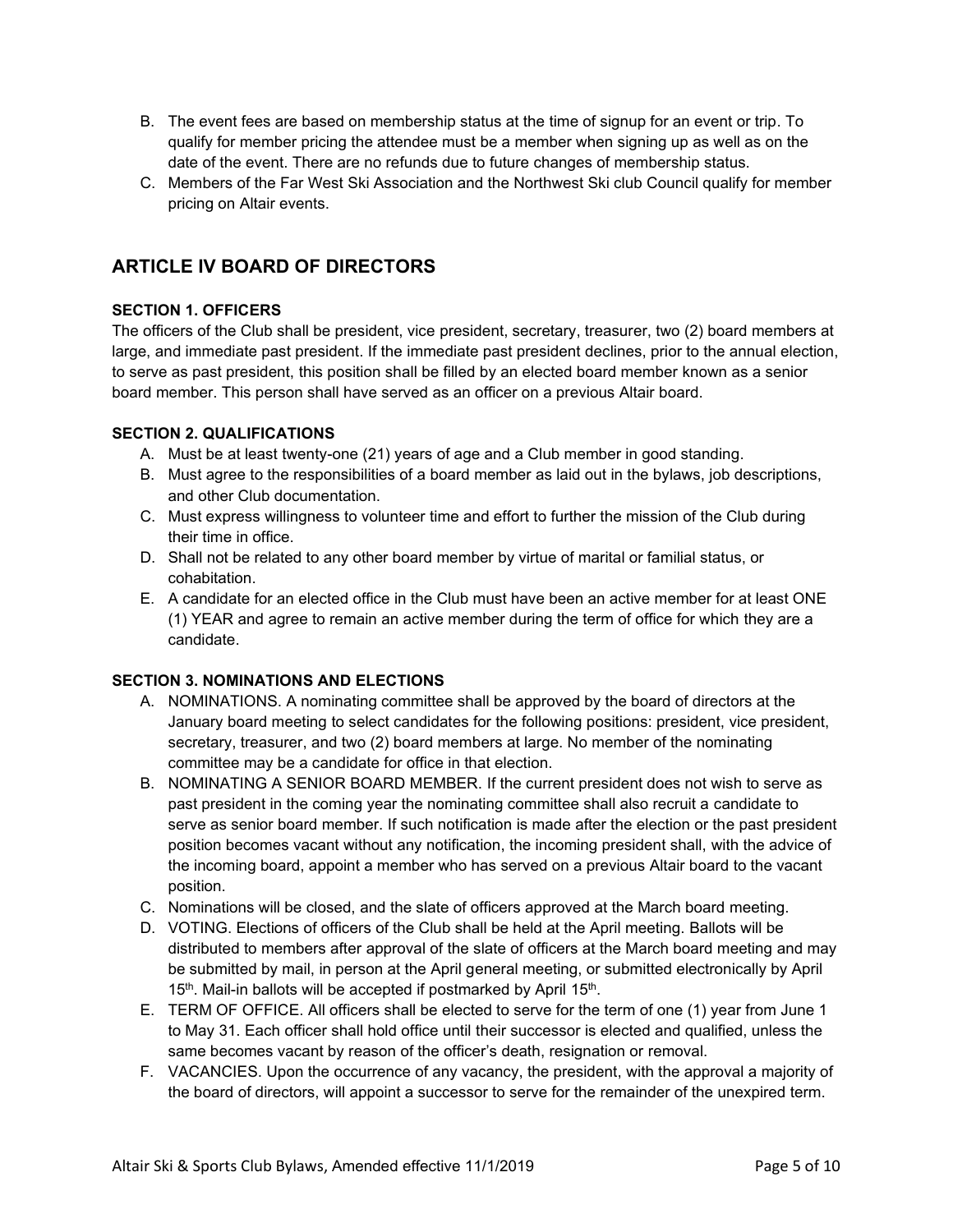- B. The event fees are based on membership status at the time of signup for an event or trip. To qualify for member pricing the attendee must be a member when signing up as well as on the date of the event. There are no refunds due to future changes of membership status.
- C. Members of the Far West Ski Association and the Northwest Ski club Council qualify for member pricing on Altair events.

# **ARTICLE IV BOARD OF DIRECTORS**

# **SECTION 1. OFFICERS**

The officers of the Club shall be president, vice president, secretary, treasurer, two (2) board members at large, and immediate past president. If the immediate past president declines, prior to the annual election, to serve as past president, this position shall be filled by an elected board member known as a senior board member. This person shall have served as an officer on a previous Altair board.

# **SECTION 2. QUALIFICATIONS**

- A. Must be at least twenty-one (21) years of age and a Club member in good standing.
- B. Must agree to the responsibilities of a board member as laid out in the bylaws, job descriptions, and other Club documentation.
- C. Must express willingness to volunteer time and effort to further the mission of the Club during their time in office.
- D. Shall not be related to any other board member by virtue of marital or familial status, or cohabitation.
- E. A candidate for an elected office in the Club must have been an active member for at least ONE (1) YEAR and agree to remain an active member during the term of office for which they are a candidate.

# **SECTION 3. NOMINATIONS AND ELECTIONS**

- A. NOMINATIONS. A nominating committee shall be approved by the board of directors at the January board meeting to select candidates for the following positions: president, vice president, secretary, treasurer, and two (2) board members at large. No member of the nominating committee may be a candidate for office in that election.
- B. NOMINATING A SENIOR BOARD MEMBER. If the current president does not wish to serve as past president in the coming year the nominating committee shall also recruit a candidate to serve as senior board member. If such notification is made after the election or the past president position becomes vacant without any notification, the incoming president shall, with the advice of the incoming board, appoint a member who has served on a previous Altair board to the vacant position.
- C. Nominations will be closed, and the slate of officers approved at the March board meeting.
- D. VOTING. Elections of officers of the Club shall be held at the April meeting. Ballots will be distributed to members after approval of the slate of officers at the March board meeting and may be submitted by mail, in person at the April general meeting, or submitted electronically by April 15<sup>th</sup>. Mail-in ballots will be accepted if postmarked by April 15<sup>th</sup>.
- E. TERM OF OFFICE. All officers shall be elected to serve for the term of one (1) year from June 1 to May 31. Each officer shall hold office until their successor is elected and qualified, unless the same becomes vacant by reason of the officer's death, resignation or removal.
- F. VACANCIES. Upon the occurrence of any vacancy, the president, with the approval a majority of the board of directors, will appoint a successor to serve for the remainder of the unexpired term.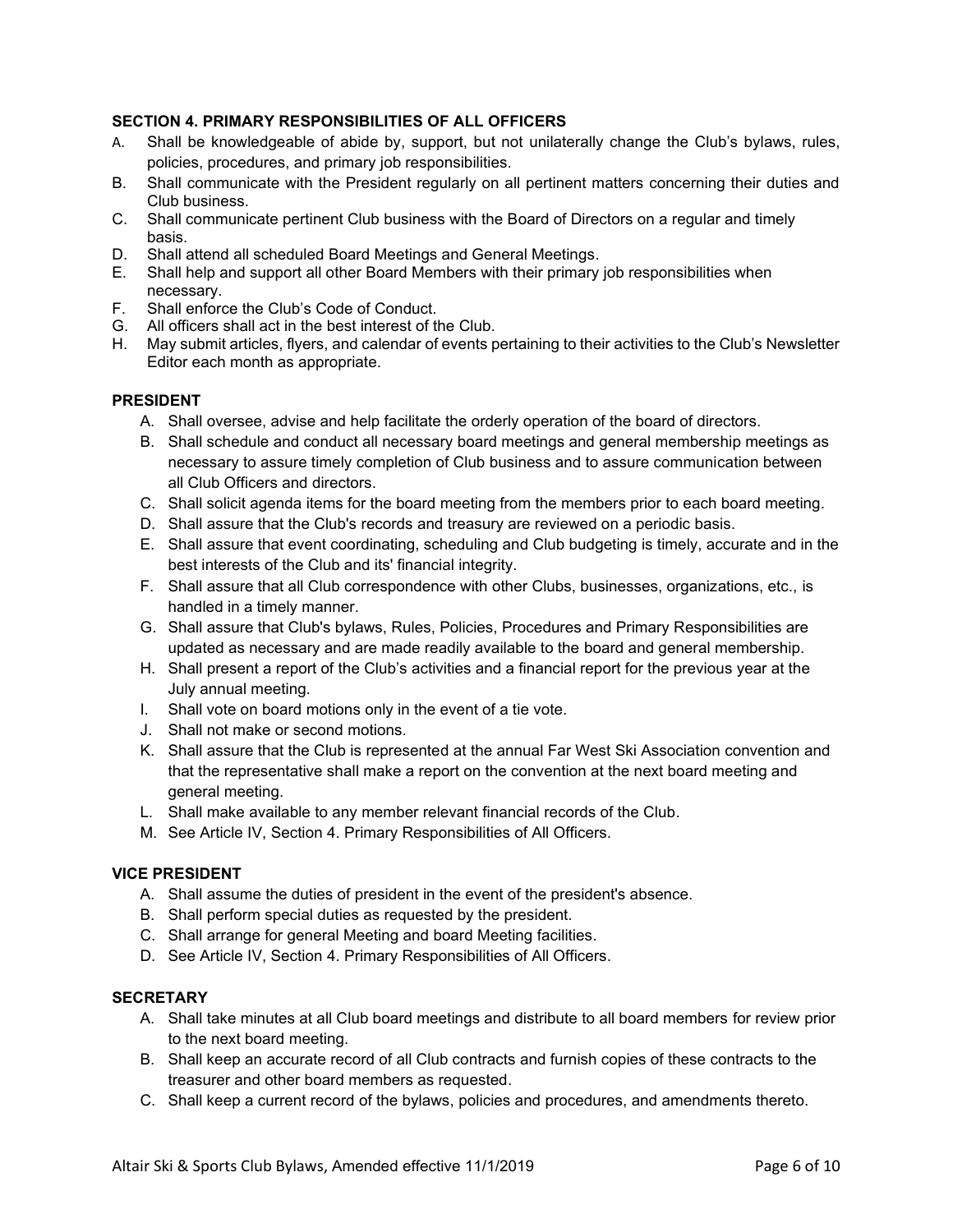# **SECTION 4. PRIMARY RESPONSIBILITIES OF ALL OFFICERS**

- A. Shall be knowledgeable of abide by, support, but not unilaterally change the Club's bylaws, rules, policies, procedures, and primary job responsibilities.
- B. Shall communicate with the President regularly on all pertinent matters concerning their duties and Club business.
- C. Shall communicate pertinent Club business with the Board of Directors on a regular and timely basis.
- D. Shall attend all scheduled Board Meetings and General Meetings.
- E. Shall help and support all other Board Members with their primary job responsibilities when necessary.
- F. Shall enforce the Club's Code of Conduct.
- G. All officers shall act in the best interest of the Club.
- H. May submit articles, flyers, and calendar of events pertaining to their activities to the Club's Newsletter Editor each month as appropriate.

### **PRESIDENT**

- A. Shall oversee, advise and help facilitate the orderly operation of the board of directors.
- B. Shall schedule and conduct all necessary board meetings and general membership meetings as necessary to assure timely completion of Club business and to assure communication between all Club Officers and directors.
- C. Shall solicit agenda items for the board meeting from the members prior to each board meeting.
- D. Shall assure that the Club's records and treasury are reviewed on a periodic basis.
- E. Shall assure that event coordinating, scheduling and Club budgeting is timely, accurate and in the best interests of the Club and its' financial integrity.
- F. Shall assure that all Club correspondence with other Clubs, businesses, organizations, etc., is handled in a timely manner.
- G. Shall assure that Club's bylaws, Rules, Policies, Procedures and Primary Responsibilities are updated as necessary and are made readily available to the board and general membership.
- H. Shall present a report of the Club's activities and a financial report for the previous year at the July annual meeting.
- I. Shall vote on board motions only in the event of a tie vote.
- J. Shall not make or second motions.
- K. Shall assure that the Club is represented at the annual Far West Ski Association convention and that the representative shall make a report on the convention at the next board meeting and general meeting.
- L. Shall make available to any member relevant financial records of the Club.
- M. See Article IV, Section 4. Primary Responsibilities of All Officers.

### **VICE PRESIDENT**

- A. Shall assume the duties of president in the event of the president's absence.
- B. Shall perform special duties as requested by the president.
- C. Shall arrange for general Meeting and board Meeting facilities.
- D. See Article IV, Section 4. Primary Responsibilities of All Officers.

### **SECRETARY**

- A. Shall take minutes at all Club board meetings and distribute to all board members for review prior to the next board meeting.
- B. Shall keep an accurate record of all Club contracts and furnish copies of these contracts to the treasurer and other board members as requested.
- C. Shall keep a current record of the bylaws, policies and procedures, and amendments thereto.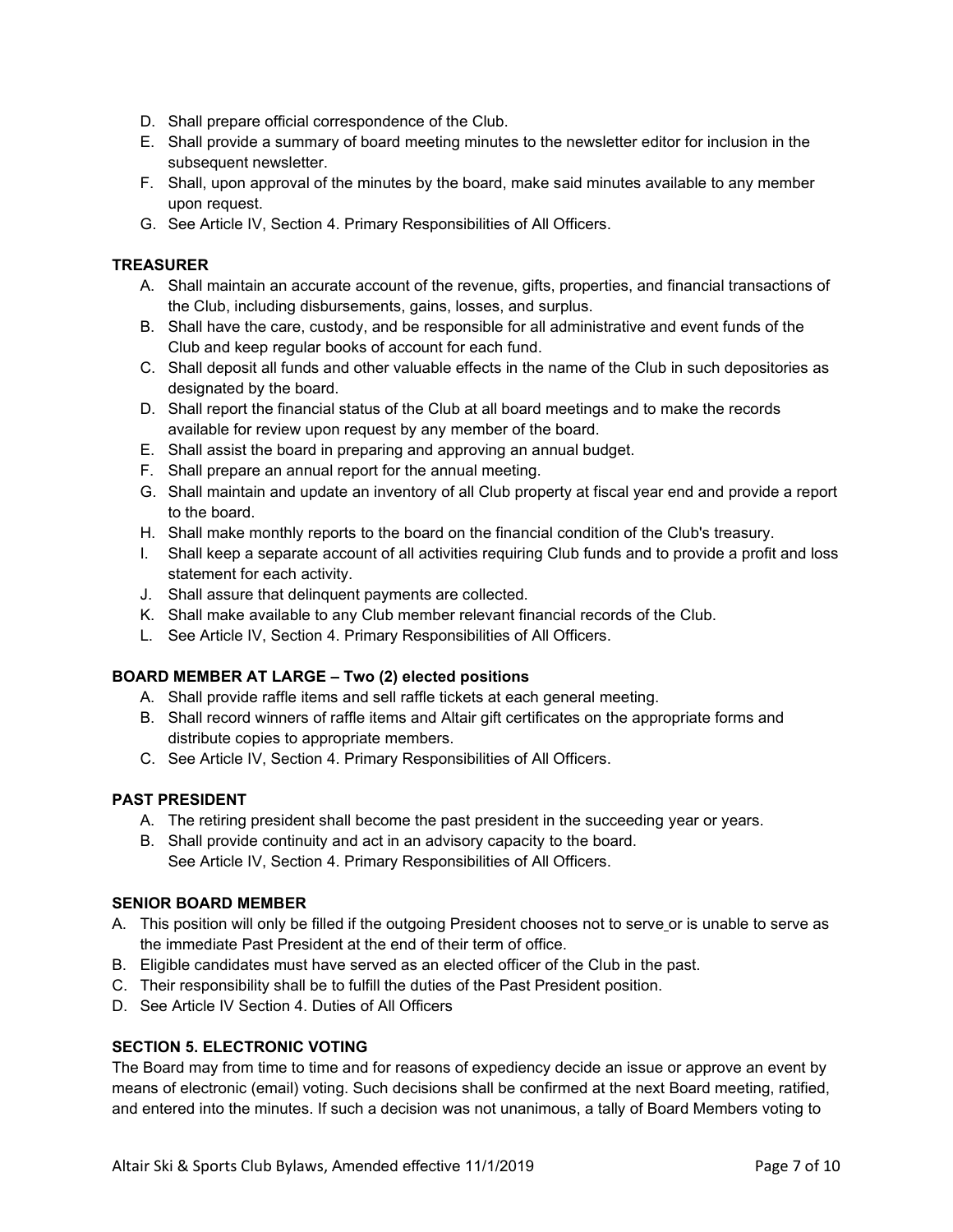- D. Shall prepare official correspondence of the Club.
- E. Shall provide a summary of board meeting minutes to the newsletter editor for inclusion in the subsequent newsletter.
- F. Shall, upon approval of the minutes by the board, make said minutes available to any member upon request.
- G. See Article IV, Section 4. Primary Responsibilities of All Officers.

# **TREASURER**

- A. Shall maintain an accurate account of the revenue, gifts, properties, and financial transactions of the Club, including disbursements, gains, losses, and surplus.
- B. Shall have the care, custody, and be responsible for all administrative and event funds of the Club and keep regular books of account for each fund.
- C. Shall deposit all funds and other valuable effects in the name of the Club in such depositories as designated by the board.
- D. Shall report the financial status of the Club at all board meetings and to make the records available for review upon request by any member of the board.
- E. Shall assist the board in preparing and approving an annual budget.
- F. Shall prepare an annual report for the annual meeting.
- G. Shall maintain and update an inventory of all Club property at fiscal year end and provide a report to the board.
- H. Shall make monthly reports to the board on the financial condition of the Club's treasury.
- I. Shall keep a separate account of all activities requiring Club funds and to provide a profit and loss statement for each activity.
- J. Shall assure that delinquent payments are collected.
- K. Shall make available to any Club member relevant financial records of the Club.
- L. See Article IV, Section 4. Primary Responsibilities of All Officers.

# **BOARD MEMBER AT LARGE – Two (2) elected positions**

- A. Shall provide raffle items and sell raffle tickets at each general meeting.
- B. Shall record winners of raffle items and Altair gift certificates on the appropriate forms and distribute copies to appropriate members.
- C. See Article IV, Section 4. Primary Responsibilities of All Officers.

# **PAST PRESIDENT**

- A. The retiring president shall become the past president in the succeeding year or years.
- B. Shall provide continuity and act in an advisory capacity to the board. See Article IV, Section 4. Primary Responsibilities of All Officers.

# **SENIOR BOARD MEMBER**

- A. This position will only be filled if the outgoing President chooses not to serve or is unable to serve as the immediate Past President at the end of their term of office.
- B. Eligible candidates must have served as an elected officer of the Club in the past.
- C. Their responsibility shall be to fulfill the duties of the Past President position.
- D. See Article IV Section 4. Duties of All Officers

# **SECTION 5. ELECTRONIC VOTING**

The Board may from time to time and for reasons of expediency decide an issue or approve an event by means of electronic (email) voting. Such decisions shall be confirmed at the next Board meeting, ratified, and entered into the minutes. If such a decision was not unanimous, a tally of Board Members voting to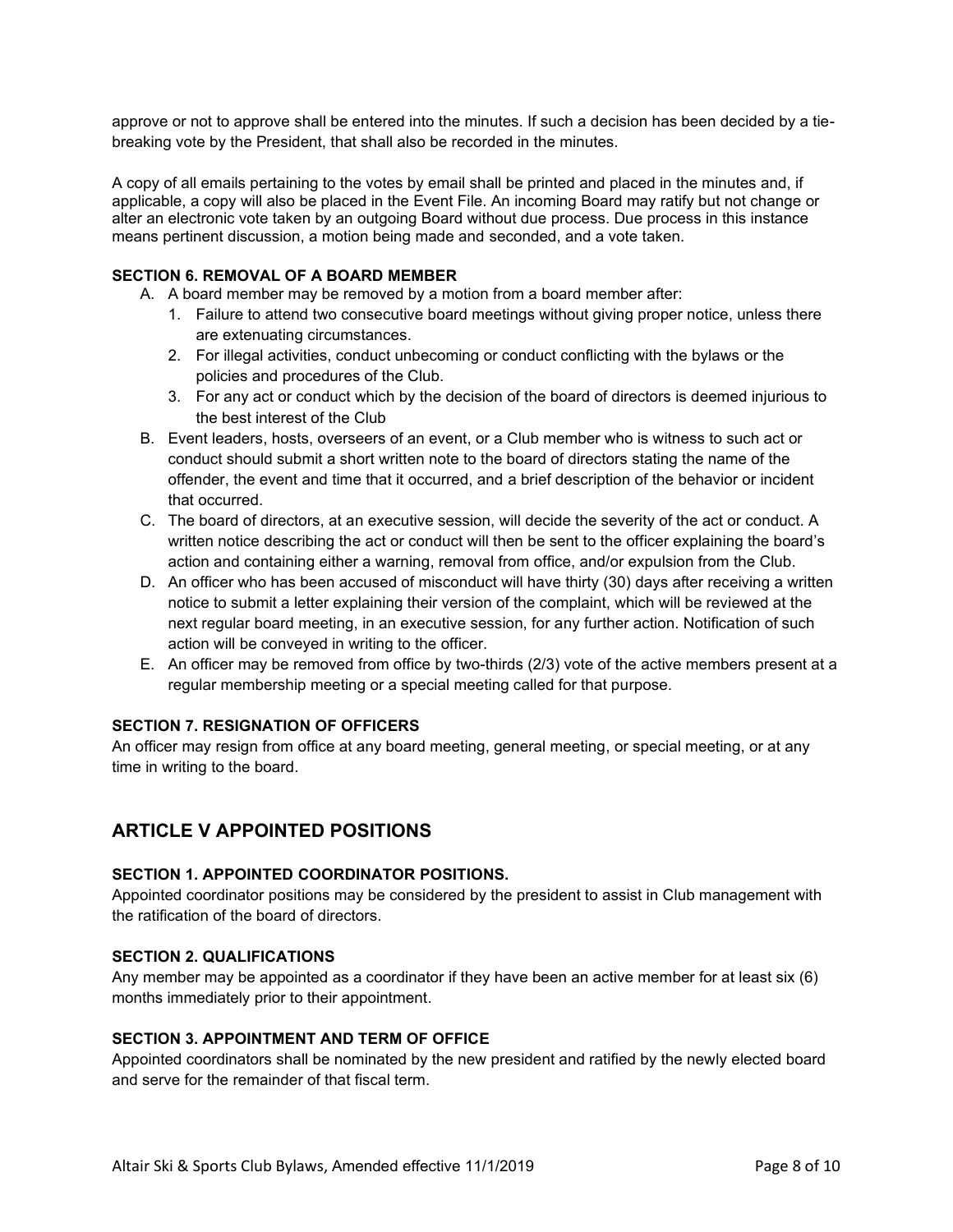approve or not to approve shall be entered into the minutes. If such a decision has been decided by a tiebreaking vote by the President, that shall also be recorded in the minutes.

A copy of all emails pertaining to the votes by email shall be printed and placed in the minutes and, if applicable, a copy will also be placed in the Event File. An incoming Board may ratify but not change or alter an electronic vote taken by an outgoing Board without due process. Due process in this instance means pertinent discussion, a motion being made and seconded, and a vote taken.

# **SECTION 6. REMOVAL OF A BOARD MEMBER**

- A. A board member may be removed by a motion from a board member after:
	- 1. Failure to attend two consecutive board meetings without giving proper notice, unless there are extenuating circumstances.
	- 2. For illegal activities, conduct unbecoming or conduct conflicting with the bylaws or the policies and procedures of the Club.
	- 3. For any act or conduct which by the decision of the board of directors is deemed injurious to the best interest of the Club
- B. Event leaders, hosts, overseers of an event, or a Club member who is witness to such act or conduct should submit a short written note to the board of directors stating the name of the offender, the event and time that it occurred, and a brief description of the behavior or incident that occurred.
- C. The board of directors, at an executive session, will decide the severity of the act or conduct. A written notice describing the act or conduct will then be sent to the officer explaining the board's action and containing either a warning, removal from office, and/or expulsion from the Club.
- D. An officer who has been accused of misconduct will have thirty (30) days after receiving a written notice to submit a letter explaining their version of the complaint, which will be reviewed at the next regular board meeting, in an executive session, for any further action. Notification of such action will be conveyed in writing to the officer.
- E. An officer may be removed from office by two-thirds (2/3) vote of the active members present at a regular membership meeting or a special meeting called for that purpose.

# **SECTION 7. RESIGNATION OF OFFICERS**

An officer may resign from office at any board meeting, general meeting, or special meeting, or at any time in writing to the board.

# **ARTICLE V APPOINTED POSITIONS**

### **SECTION 1. APPOINTED COORDINATOR POSITIONS.**

Appointed coordinator positions may be considered by the president to assist in Club management with the ratification of the board of directors.

### **SECTION 2. QUALIFICATIONS**

Any member may be appointed as a coordinator if they have been an active member for at least six (6) months immediately prior to their appointment.

### **SECTION 3. APPOINTMENT AND TERM OF OFFICE**

Appointed coordinators shall be nominated by the new president and ratified by the newly elected board and serve for the remainder of that fiscal term.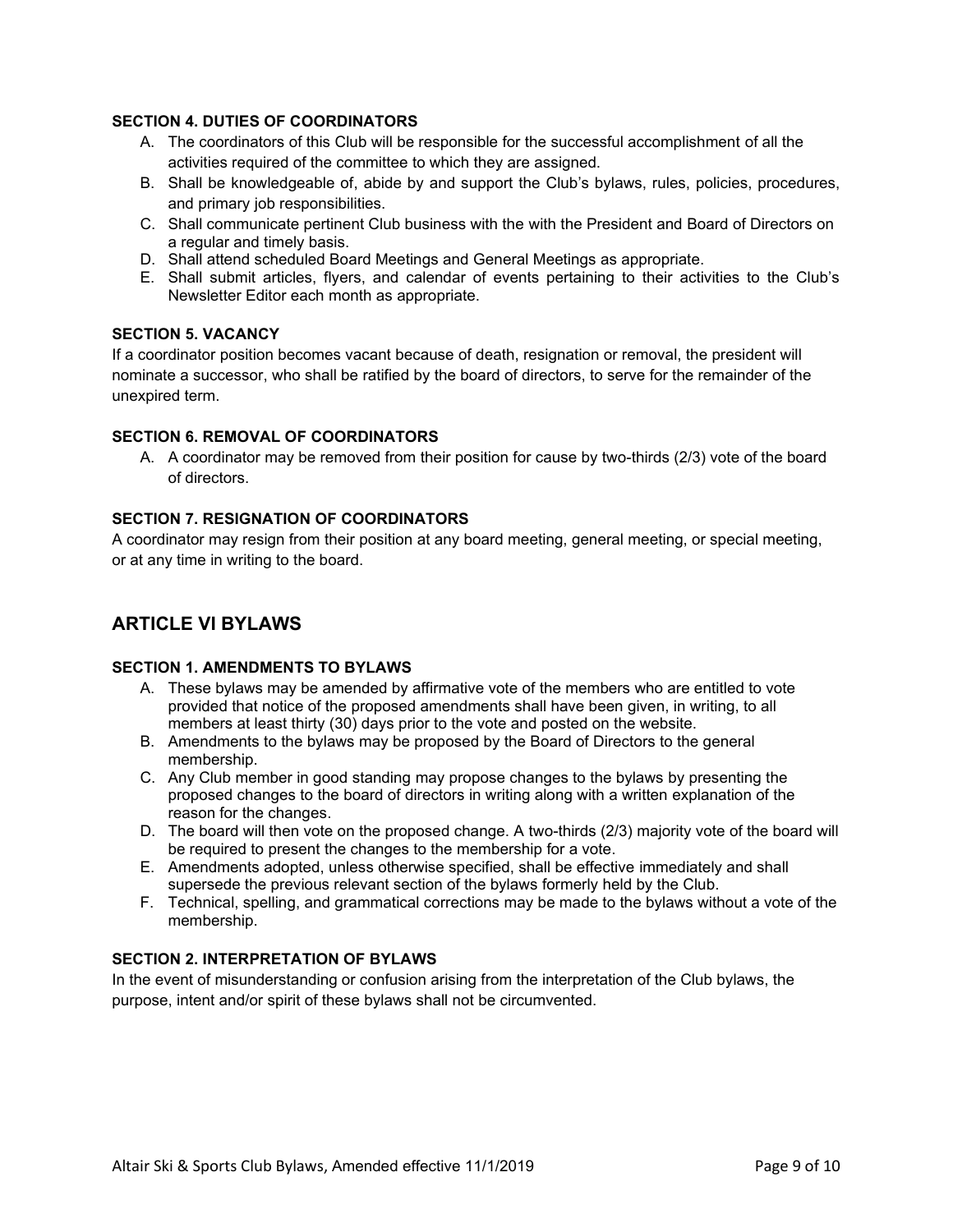## **SECTION 4. DUTIES OF COORDINATORS**

- A. The coordinators of this Club will be responsible for the successful accomplishment of all the activities required of the committee to which they are assigned.
- B. Shall be knowledgeable of, abide by and support the Club's bylaws, rules, policies, procedures, and primary job responsibilities.
- C. Shall communicate pertinent Club business with the with the President and Board of Directors on a regular and timely basis.
- D. Shall attend scheduled Board Meetings and General Meetings as appropriate.
- E. Shall submit articles, flyers, and calendar of events pertaining to their activities to the Club's Newsletter Editor each month as appropriate.

## **SECTION 5. VACANCY**

If a coordinator position becomes vacant because of death, resignation or removal, the president will nominate a successor, who shall be ratified by the board of directors, to serve for the remainder of the unexpired term.

## **SECTION 6. REMOVAL OF COORDINATORS**

A. A coordinator may be removed from their position for cause by two-thirds (2/3) vote of the board of directors.

### **SECTION 7. RESIGNATION OF COORDINATORS**

A coordinator may resign from their position at any board meeting, general meeting, or special meeting, or at any time in writing to the board.

# **ARTICLE VI BYLAWS**

### **SECTION 1. AMENDMENTS TO BYLAWS**

- A. These bylaws may be amended by affirmative vote of the members who are entitled to vote provided that notice of the proposed amendments shall have been given, in writing, to all members at least thirty (30) days prior to the vote and posted on the website.
- B. Amendments to the bylaws may be proposed by the Board of Directors to the general membership.
- C. Any Club member in good standing may propose changes to the bylaws by presenting the proposed changes to the board of directors in writing along with a written explanation of the reason for the changes.
- D. The board will then vote on the proposed change. A two-thirds (2/3) majority vote of the board will be required to present the changes to the membership for a vote.
- E. Amendments adopted, unless otherwise specified, shall be effective immediately and shall supersede the previous relevant section of the bylaws formerly held by the Club.
- F. Technical, spelling, and grammatical corrections may be made to the bylaws without a vote of the membership.

# **SECTION 2. INTERPRETATION OF BYLAWS**

In the event of misunderstanding or confusion arising from the interpretation of the Club bylaws, the purpose, intent and/or spirit of these bylaws shall not be circumvented.